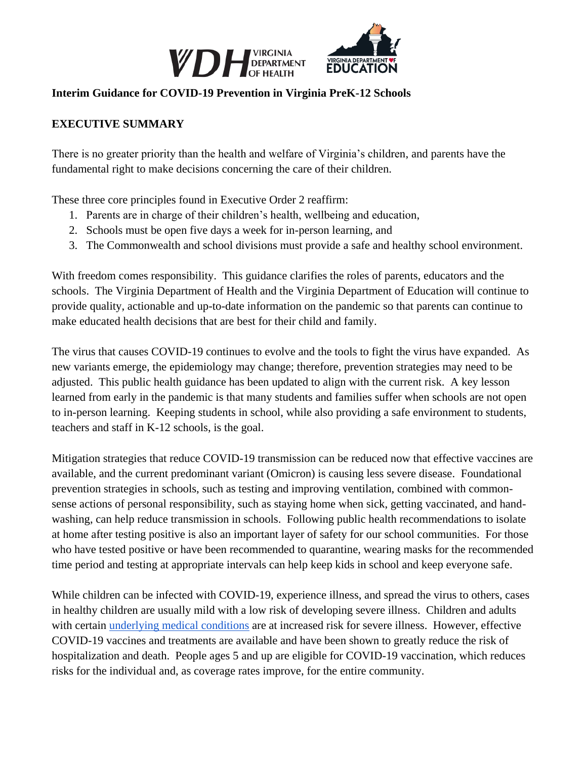

#### **Interim Guidance for COVID-19 Prevention in Virginia PreK-12 Schools**

## **EXECUTIVE SUMMARY**

There is no greater priority than the health and welfare of Virginia's children, and parents have the fundamental right to make decisions concerning the care of their children.

These three core principles found in Executive Order 2 reaffirm:

- 1. Parents are in charge of their children's health, wellbeing and education,
- 2. Schools must be open five days a week for in-person learning, and
- 3. The Commonwealth and school divisions must provide a safe and healthy school environment.

With freedom comes responsibility. This guidance clarifies the roles of parents, educators and the schools. The Virginia Department of Health and the Virginia Department of Education will continue to provide quality, actionable and up-to-date information on the pandemic so that parents can continue to make educated health decisions that are best for their child and family.

The virus that causes COVID-19 continues to evolve and the tools to fight the virus have expanded. As new variants emerge, the epidemiology may change; therefore, prevention strategies may need to be adjusted. This public health guidance has been updated to align with the current risk. A key lesson learned from early in the pandemic is that many students and families suffer when schools are not open to in-person learning. Keeping students in school, while also providing a safe environment to students, teachers and staff in K-12 schools, is the goal.

Mitigation strategies that reduce COVID-19 transmission can be reduced now that effective vaccines are available, and the current predominant variant (Omicron) is causing less severe disease. Foundational prevention strategies in schools, such as testing and improving ventilation, combined with commonsense actions of personal responsibility, such as staying home when sick, getting vaccinated, and handwashing, can help reduce transmission in schools. Following public health recommendations to isolate at home after testing positive is also an important layer of safety for our school communities. For those who have tested positive or have been recommended to quarantine, wearing masks for the recommended time period and testing at appropriate intervals can help keep kids in school and keep everyone safe.

While children can be infected with COVID-19, experience illness, and spread the virus to others, cases in healthy children are usually mild with a low risk of developing severe illness. Children and adults with certain [underlying medical conditions](https://www.cdc.gov/coronavirus/2019-ncov/need-extra-precautions/people-with-medical-conditions.html) are at increased risk for severe illness. However, effective COVID-19 vaccines and treatments are available and have been shown to greatly reduce the risk of hospitalization and death. People ages 5 and up are eligible for COVID-19 vaccination, which reduces risks for the individual and, as coverage rates improve, for the entire community.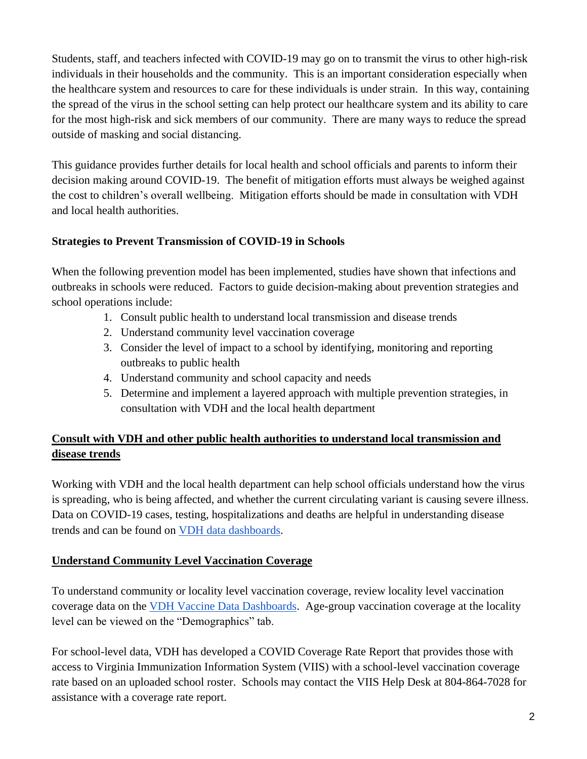Students, staff, and teachers infected with COVID-19 may go on to transmit the virus to other high-risk individuals in their households and the community. This is an important consideration especially when the healthcare system and resources to care for these individuals is under strain. In this way, containing the spread of the virus in the school setting can help protect our healthcare system and its ability to care for the most high-risk and sick members of our community. There are many ways to reduce the spread outside of masking and social distancing.

This guidance provides further details for local health and school officials and parents to inform their decision making around COVID-19. The benefit of mitigation efforts must always be weighed against the cost to children's overall wellbeing. Mitigation efforts should be made in consultation with VDH and local health authorities.

## **Strategies to Prevent Transmission of COVID-19 in Schools**

When the following prevention model has been implemented, studies have shown that infections and outbreaks in schools were reduced. Factors to guide decision-making about prevention strategies and school operations include:

- 1. Consult public health to understand local transmission and disease trends
- 2. Understand community level vaccination coverage
- 3. Consider the level of impact to a school by identifying, monitoring and reporting outbreaks to public health
- 4. Understand community and school capacity and needs
- 5. Determine and implement a layered approach with multiple prevention strategies, in consultation with VDH and the local health department

# **Consult with VDH and other public health authorities to understand local transmission and disease trends**

Working with VDH and the local health department can help school officials understand how the virus is spreading, who is being affected, and whether the current circulating variant is causing severe illness. Data on COVID-19 cases, testing, hospitalizations and deaths are helpful in understanding disease trends and can be found on [VDH data dashboards.](https://www.vdh.virginia.gov/coronavirus/see-the-numbers/covid-19-in-virginia/)

## **Understand Community Level Vaccination Coverage**

To understand community or locality level vaccination coverage, review locality level vaccination coverage data on the [VDH Vaccine Data Dashboards.](https://www.vdh.virginia.gov/coronavirus/covid-19-vaccine-summary/) Age-group vaccination coverage at the locality level can be viewed on the "Demographics" tab.

For school-level data, VDH has developed a COVID Coverage Rate Report that provides those with access to Virginia Immunization Information System (VIIS) with a school-level vaccination coverage rate based on an uploaded school roster. Schools may contact the VIIS Help Desk at 804-864-7028 for assistance with a coverage rate report.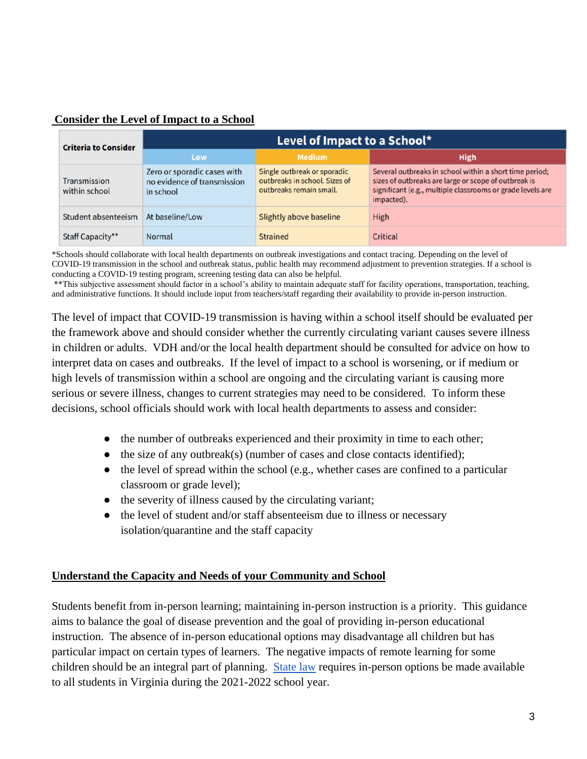| <b>Consider the Level of Impact to a School</b> |  |  |  |  |
|-------------------------------------------------|--|--|--|--|
|                                                 |  |  |  |  |

| <b>Criteria to Consider</b>          | Level of Impact to a School*                                            |                                                                                         |                                                                                                                                                                                             |  |  |  |
|--------------------------------------|-------------------------------------------------------------------------|-----------------------------------------------------------------------------------------|---------------------------------------------------------------------------------------------------------------------------------------------------------------------------------------------|--|--|--|
|                                      | Low                                                                     | <b>Medium</b>                                                                           | <b>High</b>                                                                                                                                                                                 |  |  |  |
| <b>Transmission</b><br>within school | Zero or sporadic cases with<br>no evidence of transmission<br>in school | Single outbreak or sporadic<br>outbreaks in school. Sizes of<br>outbreaks remain small. | Several outbreaks in school within a short time period;<br>sizes of outbreaks are large or scope of outbreak is<br>significant (e.g., multiple classrooms or grade levels are<br>impacted). |  |  |  |
| <b>Student absenteeism</b>           | At baseline/Low                                                         | Slightly above baseline                                                                 | High                                                                                                                                                                                        |  |  |  |
| Staff Capacity**                     | <b>Normal</b>                                                           | <b>Strained</b>                                                                         | Critical                                                                                                                                                                                    |  |  |  |

\*Schools should collaborate with local health departments on outbreak investigations and contact tracing. Depending on the level of COVID-19 transmission in the school and outbreak status, public health may recommend adjustment to prevention strategies. If a school is conducting a COVID-19 testing program, screening testing data can also be helpful.

\*\*This subjective assessment should factor in a school's ability to maintain adequate staff for facility operations, transportation, teaching, and administrative functions. It should include input from teachers/staff regarding their availability to provide in-person instruction.

The level of impact that COVID-19 transmission is having within a school itself should be evaluated per the framework above and should consider whether the currently circulating variant causes severe illness in children or adults. VDH and/or the local health department should be consulted for advice on how to interpret data on cases and outbreaks. If the level of impact to a school is worsening, or if medium or high levels of transmission within a school are ongoing and the circulating variant is causing more serious or severe illness, changes to current strategies may need to be considered. To inform these decisions, school officials should work with local health departments to assess and consider:

- the number of outbreaks experienced and their proximity in time to each other;
- $\bullet$  the size of any outbreak(s) (number of cases and close contacts identified);
- the level of spread within the school (e.g., whether cases are confined to a particular classroom or grade level);
- the severity of illness caused by the circulating variant;
- the level of student and/or staff absenteeism due to illness or necessary isolation/quarantine and the staff capacity

#### **Understand the Capacity and Needs of your Community and School**

Students benefit from in-person learning; maintaining in-person instruction is a priority. This guidance aims to balance the goal of disease prevention and the goal of providing in-person educational instruction. The absence of in-person educational options may disadvantage all children but has particular impact on certain types of learners. The negative impacts of remote learning for some children should be an integral part of planning. [State law](https://lis.virginia.gov/cgi-bin/legp604.exe?212+ful+CHAP0456) requires in-person options be made available to all students in Virginia during the 2021-2022 school year.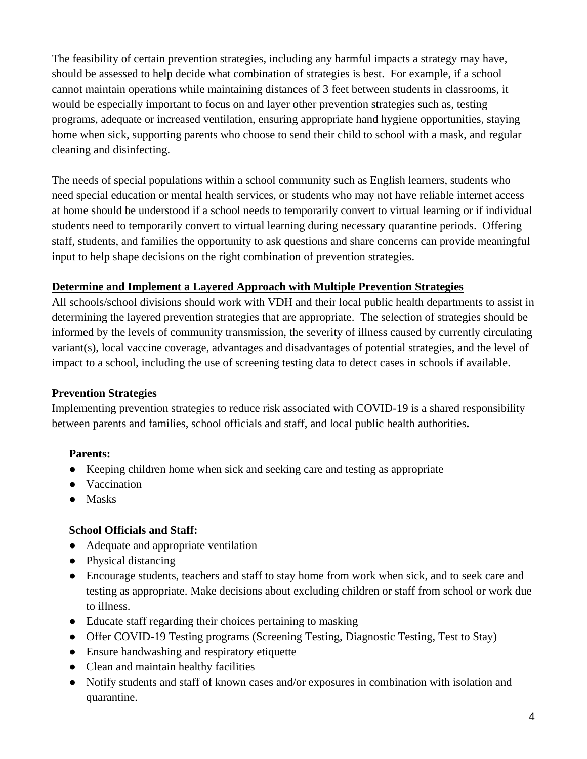The feasibility of certain prevention strategies, including any harmful impacts a strategy may have, should be assessed to help decide what combination of strategies is best. For example, if a school cannot maintain operations while maintaining distances of 3 feet between students in classrooms, it would be especially important to focus on and layer other prevention strategies such as, testing programs, adequate or increased ventilation, ensuring appropriate hand hygiene opportunities, staying home when sick, supporting parents who choose to send their child to school with a mask, and regular cleaning and disinfecting.

The needs of special populations within a school community such as English learners, students who need special education or mental health services, or students who may not have reliable internet access at home should be understood if a school needs to temporarily convert to virtual learning or if individual students need to temporarily convert to virtual learning during necessary quarantine periods. Offering staff, students, and families the opportunity to ask questions and share concerns can provide meaningful input to help shape decisions on the right combination of prevention strategies.

## **Determine and Implement a Layered Approach with Multiple Prevention Strategies**

All schools/school divisions should work with VDH and their local public health departments to assist in determining the layered prevention strategies that are appropriate. The selection of strategies should be informed by the levels of community transmission, the severity of illness caused by currently circulating variant(s), local vaccine coverage, advantages and disadvantages of potential strategies, and the level of impact to a school, including the use of screening testing data to detect cases in schools if available.

## **Prevention Strategies**

Implementing prevention strategies to reduce risk associated with COVID-19 is a shared responsibility between parents and families, school officials and staff, and local public health authorities**.** 

## **Parents:**

- Keeping children home when sick and seeking care and testing as appropriate
- Vaccination
- Masks

## **School Officials and Staff:**

- Adequate and appropriate ventilation
- Physical distancing
- Encourage students, teachers and staff to stay home from work when sick, and to seek care and testing as appropriate. Make decisions about excluding children or staff from school or work due to illness.
- Educate staff regarding their choices pertaining to masking
- Offer COVID-19 Testing programs (Screening Testing, Diagnostic Testing, Test to Stay)
- Ensure handwashing and respiratory etiquette
- Clean and maintain healthy facilities
- Notify students and staff of known cases and/or exposures in combination with isolation and quarantine.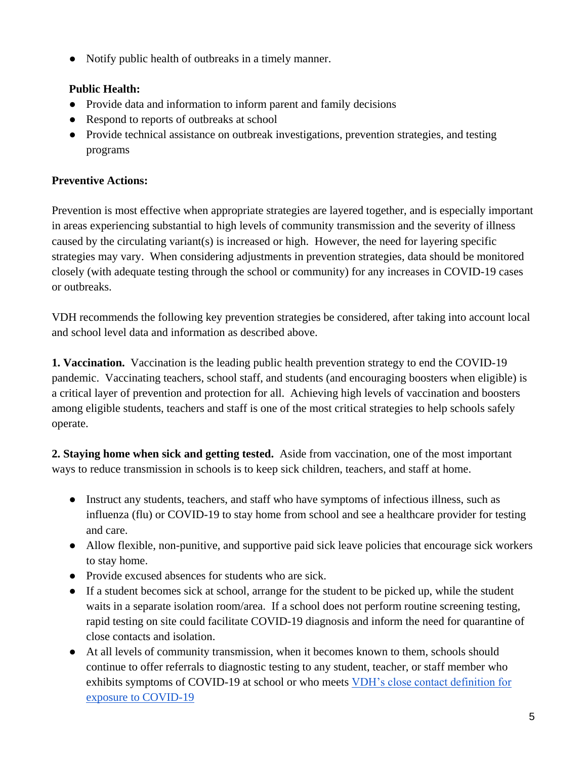● Notify public health of outbreaks in a timely manner.

# **Public Health:**

- Provide data and information to inform parent and family decisions
- Respond to reports of outbreaks at school
- Provide technical assistance on outbreak investigations, prevention strategies, and testing programs

# **Preventive Actions:**

Prevention is most effective when appropriate strategies are layered together, and is especially important in areas experiencing substantial to high levels of community transmission and the severity of illness caused by the circulating variant(s) is increased or high. However, the need for layering specific strategies may vary. When considering adjustments in prevention strategies, data should be monitored closely (with adequate testing through the school or community) for any increases in COVID-19 cases or outbreaks.

VDH recommends the following key prevention strategies be considered, after taking into account local and school level data and information as described above.

**1. Vaccination.** Vaccination is the leading public health prevention strategy to end the COVID-19 pandemic. Vaccinating teachers, school staff, and students (and encouraging boosters when eligible) is a critical layer of prevention and protection for all. Achieving high levels of vaccination and boosters among eligible students, teachers and staff is one of the most critical strategies to help schools safely operate.

**2. Staying home when sick and getting tested.** Aside from vaccination, one of the most important ways to reduce transmission in schools is to keep sick children, teachers, and staff at home.

- Instruct any students, teachers, and staff who have symptoms of infectious illness, such as influenza (flu) or COVID-19 to stay home from school and see a healthcare provider for testing and care.
- Allow flexible, non-punitive, and supportive paid sick leave policies that encourage sick workers to stay home.
- Provide excused absences for students who are sick.
- If a student becomes sick at school, arrange for the student to be picked up, while the student waits in a separate isolation room/area. If a school does not perform routine screening testing, rapid testing on site could facilitate COVID-19 diagnosis and inform the need for quarantine of close contacts and isolation.
- At all levels of community transmission, when it becomes known to them, schools should continue to offer referrals to diagnostic testing to any student, teacher, or staff member who exhibits symptoms of COVID-19 at school or who meets [VDH's close contact definition for](https://www.vdh.virginia.gov/coronavirus/local-exposure/#close-contact)  [exposure to COVID-19](https://www.vdh.virginia.gov/coronavirus/local-exposure/#close-contact)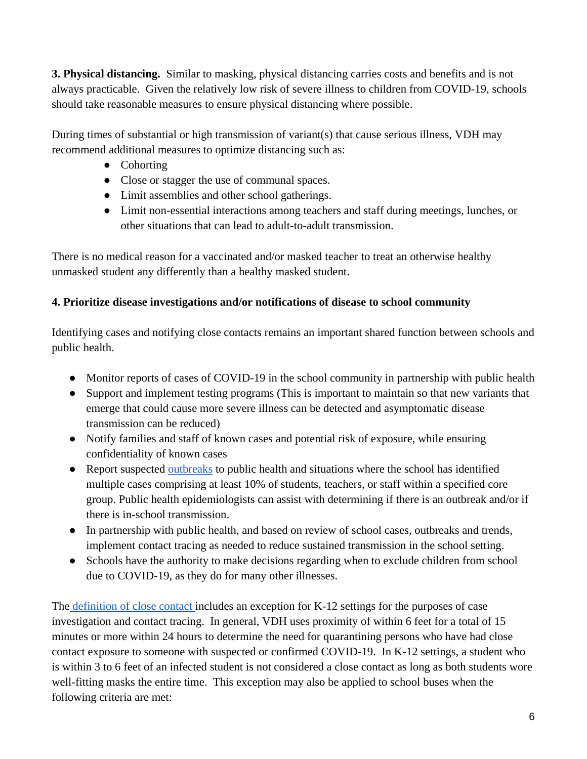**3. Physical distancing.** Similar to masking, physical distancing carries costs and benefits and is not always practicable. Given the relatively low risk of severe illness to children from COVID-19, schools should take reasonable measures to ensure physical distancing where possible.

During times of substantial or high transmission of variant(s) that cause serious illness, VDH may recommend additional measures to optimize distancing such as:

- Cohorting
- Close or stagger the use of communal spaces.
- Limit assemblies and other school gatherings.
- Limit non-essential interactions among teachers and staff during meetings, lunches, or other situations that can lead to adult-to-adult transmission.

There is no medical reason for a vaccinated and/or masked teacher to treat an otherwise healthy unmasked student any differently than a healthy masked student.

# **4. Prioritize disease investigations and/or notifications of disease to school community**

Identifying cases and notifying close contacts remains an important shared function between schools and public health.

- Monitor reports of cases of COVID-19 in the school community in partnership with public health
- Support and implement testing programs (This is important to maintain so that new variants that emerge that could cause more severe illness can be detected and asymptomatic disease transmission can be reduced)
- Notify families and staff of known cases and potential risk of exposure, while ensuring confidentiality of known cases
- Report suspected [outbreaks](https://www.vdh.virginia.gov/coronavirus/see-the-numbers/covid-19-in-virginia/covid-19-in-virginia-outbreaks/) to public health and situations where the school has identified multiple cases comprising at least 10% of students, teachers, or staff within a specified core group. Public health epidemiologists can assist with determining if there is an outbreak and/or if there is in-school transmission.
- In partnership with public health, and based on review of school cases, outbreaks and trends, implement contact tracing as needed to reduce sustained transmission in the school setting.
- Schools have the authority to make decisions regarding when to exclude children from school due to COVID-19, as they do for many other illnesses.

The [definition of close contact i](https://www.vdh.virginia.gov/coronavirus/local-exposure/#close-contact)ncludes an exception for K-12 settings for the purposes of case investigation and contact tracing. In general, VDH uses proximity of within 6 feet for a total of 15 minutes or more within 24 hours to determine the need for quarantining persons who have had close contact exposure to someone with suspected or confirmed COVID-19. In K-12 settings, a student who is within 3 to 6 feet of an infected student is not considered a close contact as long as both students wore well-fitting masks the entire time. This exception may also be applied to school buses when the following criteria are met: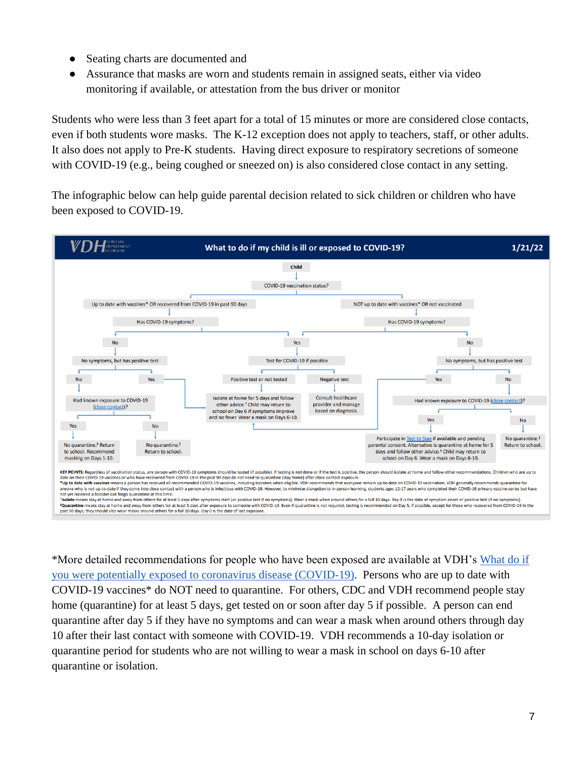- Seating charts are documented and
- Assurance that masks are worn and students remain in assigned seats, either via video monitoring if available, or attestation from the bus driver or monitor

Students who were less than 3 feet apart for a total of 15 minutes or more are considered close contacts, even if both students wore masks. The K-12 exception does not apply to teachers, staff, or other adults. It also does not apply to Pre-K students. Having direct exposure to respiratory secretions of someone with COVID-19 (e.g., being coughed or sneezed on) is also considered close contact in any setting.

The infographic below can help guide parental decision related to sick children or children who have been exposed to COVID-19.



\*More detailed recommendations for people who have been exposed are available at VDH's [What do if](https://www.vdh.virginia.gov/coronavirus/protect-yourself/exposure/)  [you were potentially exposed to coronavirus disease \(COVID-19\).](https://www.vdh.virginia.gov/coronavirus/protect-yourself/exposure/) Persons who are up to date with COVID-19 vaccines\* do NOT need to quarantine. For others, CDC and VDH recommend people stay home (quarantine) for at least 5 days, get tested on or soon after day 5 if possible. A person can end quarantine after day 5 if they have no symptoms and can wear a mask when around others through day 10 after their last contact with someone with COVID-19. VDH recommends a 10-day isolation or quarantine period for students who are not willing to wear a mask in school on days 6-10 after quarantine or isolation.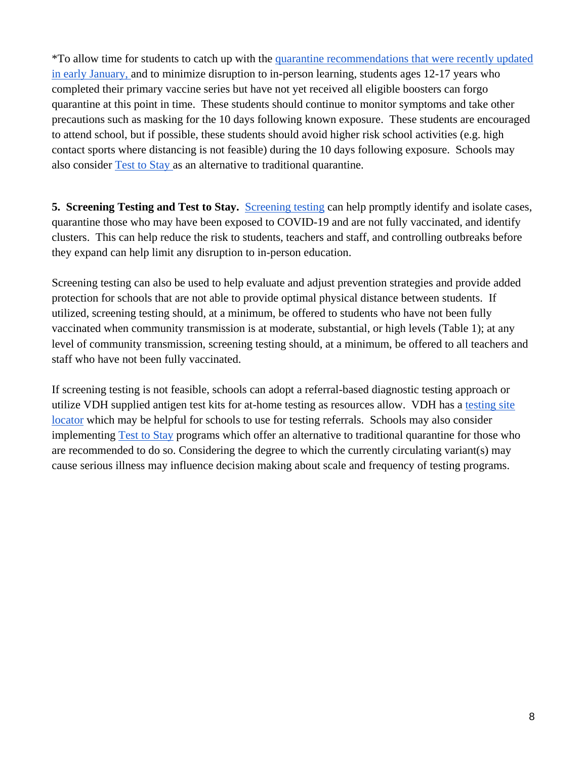\*To allow time for students to catch up with the [quarantine recommendations that were recently updated](https://www.vdh.virginia.gov/content/uploads/sites/182/2020/04/Home-IsolationQuarantine-Release-Graphic_FINAL.pdf)  [in early January, a](https://www.vdh.virginia.gov/content/uploads/sites/182/2020/04/Home-IsolationQuarantine-Release-Graphic_FINAL.pdf)nd to minimize disruption to in-person learning, students ages 12-17 years who completed their [primary vaccine series](https://www.cdc.gov/vaccines/covid-19/clinical-considerations/covid-19-vaccines-us.html?CDC_AA_refVal=https%3A%2F%2Fwww.cdc.gov%2Fvaccines%2Fcovid-19%2Finfo-by-product%2Fclinical-considerations.html#children) but have not yet received all [eligible boosters](https://www.cdc.gov/coronavirus/2019-ncov/vaccines/stay-up-to-date.html) can forgo quarantine at this point in time. These students should continue to monitor symptoms and take other precautions such as masking for the 10 days following known exposure. These students are encouraged to attend school, but if possible, these students should avoid higher risk school activities (e.g. high contact sports where distancing is not feasible) during the 10 days following exposure. Schools may also consider [Test to Stay a](https://www.vdh.virginia.gov/coronavirus/protect-yourself/covid-19-testing/k-12-testing/test-to-stay/)s an alternative to traditional quarantine.

**5. Screening Testing and Test to Stay.** [Screening testing](https://www.vdh.virginia.gov/coronavirus/protect-yourself/covid-19-testing/k-12-testing/) can help promptly identify and isolate cases, quarantine those who may have been exposed to COVID-19 and are not fully vaccinated, and identify clusters. This can help reduce the risk to students, teachers and staff, and controlling outbreaks before they expand can help limit any disruption to in-person education.

Screening testing can also be used to help evaluate and adjust prevention strategies and provide added protection for schools that are not able to provide optimal physical distance between students. If utilized, screening testing should, at a minimum, be offered to students who have not been fully vaccinated when community transmission is at moderate, substantial, or high levels (Table 1); at any level of community transmission, screening testing should, at a minimum, be offered to all teachers and staff who have not been fully vaccinated.

If screening testing is not feasible, schools can adopt a referral-based diagnostic testing approach or utilize VDH supplied antigen test kits for at-home testing as resources allow. VDH has a [testing site](https://www.vdh.virginia.gov/coronavirus/covid-19-testing-sites/) [locator](https://www.vdh.virginia.gov/coronavirus/covid-19-testing-sites/) which may be helpful for schools to use for testing referrals. Schools may also consider implementing [Test to Stay](https://www.vdh.virginia.gov/coronavirus/protect-yourself/covid-19-testing/k-12-testing/test-to-stay/) programs which offer an alternative to traditional quarantine for those who are recommended to do so. Considering the degree to which the currently circulating variant(s) may cause serious illness may influence decision making about scale and frequency of testing programs.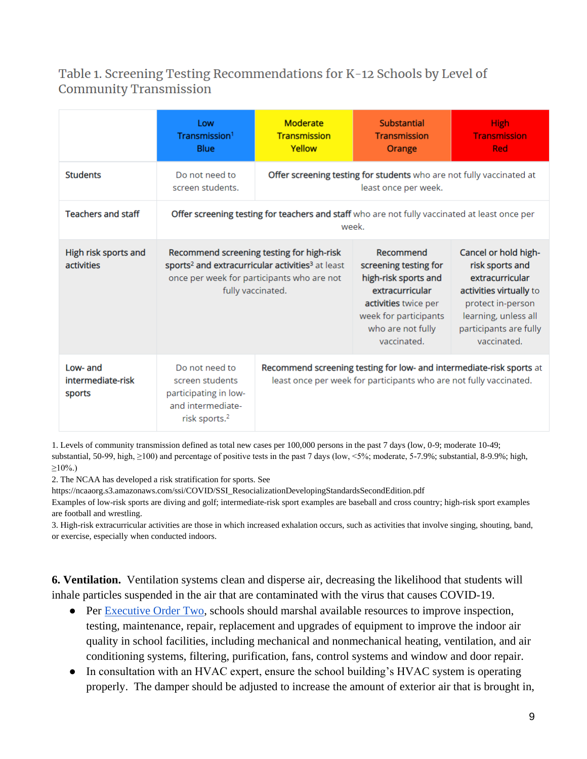# Table 1. Screening Testing Recommendations for K-12 Schools by Level of **Community Transmission**

|                                         | Low<br>Transmission <sup>1</sup><br>Blue                                                                     | Moderate<br><b>Transmission</b><br>Yellow                                                                                                                                                | Substantial<br><b>Transmission</b><br>Orange                                                                                                                       | <b>High</b><br><b>Transmission</b><br><b>Red</b>                                                                                                                            |  |  |
|-----------------------------------------|--------------------------------------------------------------------------------------------------------------|------------------------------------------------------------------------------------------------------------------------------------------------------------------------------------------|--------------------------------------------------------------------------------------------------------------------------------------------------------------------|-----------------------------------------------------------------------------------------------------------------------------------------------------------------------------|--|--|
| <b>Students</b>                         | Do not need to<br>screen students.                                                                           |                                                                                                                                                                                          | Offer screening testing for students who are not fully vaccinated at<br>least once per week.                                                                       |                                                                                                                                                                             |  |  |
| <b>Teachers and staff</b>               | Offer screening testing for teachers and staff who are not fully vaccinated at least once per<br>week.       |                                                                                                                                                                                          |                                                                                                                                                                    |                                                                                                                                                                             |  |  |
| High risk sports and<br>activities      |                                                                                                              | Recommend screening testing for high-risk<br>sports <sup>2</sup> and extracurricular activities <sup>3</sup> at least<br>once per week for participants who are not<br>fully vaccinated. | Recommend<br>screening testing for<br>high-risk sports and<br>extracurricular<br>activities twice per<br>week for participants<br>who are not fully<br>vaccinated. | Cancel or hold high-<br>risk sports and<br>extracurricular<br>activities virtually to<br>protect in-person<br>learning, unless all<br>participants are fully<br>vaccinated. |  |  |
| Low- and<br>intermediate-risk<br>sports | Do not need to<br>screen students<br>participating in low-<br>and intermediate-<br>risk sports. <sup>2</sup> |                                                                                                                                                                                          | Recommend screening testing for low- and intermediate-risk sports at<br>least once per week for participants who are not fully vaccinated.                         |                                                                                                                                                                             |  |  |

1. [Levels of community transmission](https://covid.cdc.gov/covid-data-tracker/#county-view) defined as total new cases per 100,000 persons in the past 7 days (low, 0-9; moderate 10-49; substantial, 50-99, high,  $\geq$ 100) and percentage of positive tests in the past 7 days (low, <5%; moderate, 5-7.9%; substantial, 8-9.9%; high,  $\geq 10\%$ .)

2. The NCAA has developed a risk stratification for sports. See

[https://ncaaorg.s3.amazonaws.com/ssi/COVID/SSI\\_ResocializationDevelopingStandardsSecondEdition.pdf](https://ncaaorg.s3.amazonaws.com/ssi/COVID/SSI_ResocializationDevelopingStandardsSecondEdition.pdf)

Examples of low-risk sports are diving and golf; intermediate-risk sport examples are baseball and cross country; high-risk sport examples are football and wrestling.

3. High-risk extracurricular activities are those in which increased exhalation occurs, such as activities that involve singing, shouting, band, or exercise, especially when conducted indoors.

**6. Ventilation.** Ventilation systems clean and disperse air, decreasing the likelihood that students will inhale particles suspended in the air that are contaminated with the virus that causes COVID-19.

- Per [Executive Order Two,](https://www.governor.virginia.gov/media/governorvirginiagov/governor-of-virginia/pdf/74---eo/74---eo/EO-2---School-Mask-Mandate-Executive-Order-Exception.pdf) schools should marshal available resources to improve inspection, testing, maintenance, repair, replacement and upgrades of equipment to improve the indoor air quality in school facilities, including mechanical and nonmechanical heating, ventilation, and air conditioning systems, filtering, purification, fans, control systems and window and door repair.
- In consultation with an HVAC expert, ensure the school building's HVAC system is operating properly. The damper should be adjusted to increase the amount of exterior air that is brought in,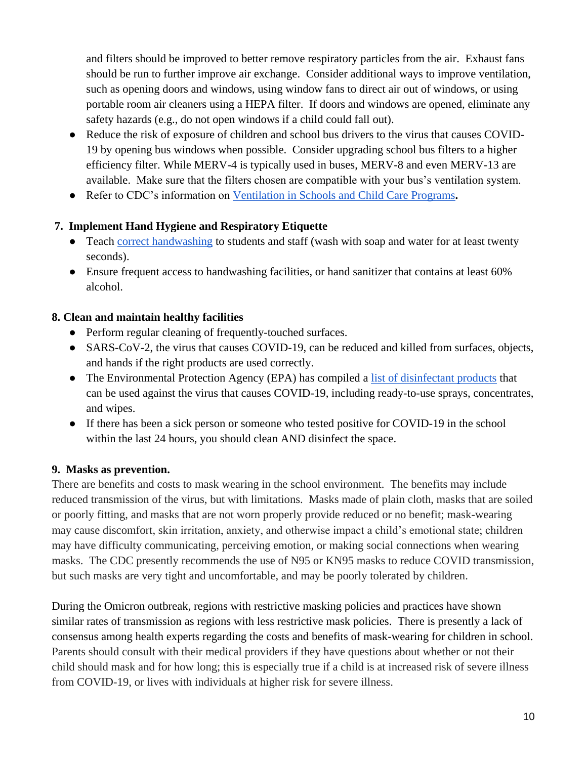and filters should be improved to better remove respiratory particles from the air. Exhaust fans should be run to further improve air exchange. Consider additional ways to improve ventilation, such as opening doors and windows, using window fans to direct air out of windows, or using portable room air cleaners using a HEPA filter. If doors and windows are opened, eliminate any safety hazards (e.g., do not open windows if a child could fall out).

- Reduce the risk of exposure of children and school bus drivers to the virus that causes COVID-19 by opening bus windows when possible. Consider upgrading school bus filters to a higher efficiency filter. While MERV-4 is typically used in buses, MERV-8 and even MERV-13 are available. Make sure that the filters chosen are compatible with your bus's ventilation system.
- Refer to CDC's information on [Ventilation in Schools and Child Care Programs](https://www.cdc.gov/coronavirus/2019-ncov/community/schools-childcare/ventilation.html)**.**

## **7. Implement Hand Hygiene and Respiratory Etiquette**

- Teach [correct handwashing](https://www.cdc.gov/handwashing/when-how-handwashing.html) to students and staff (wash with soap and water for at least twenty seconds).
- Ensure frequent access to handwashing facilities, or hand sanitizer that contains at least 60% alcohol.

#### **8. Clean and maintain healthy facilities**

- Perform regular cleaning of frequently-touched surfaces.
- SARS-CoV-2, the virus that causes COVID-19, can be reduced and killed from surfaces, objects, and hands if the right products are used correctly.
- The Environmental Protection Agency (EPA) has compiled a [list of disinfectant products](https://cfpub.epa.gov/wizards/disinfectants/) that can be used against the virus that causes COVID-19, including ready-to-use sprays, concentrates, and wipes.
- If there has been a sick person or someone who tested positive for COVID-19 in the school within the last 24 hours, you should clean AND disinfect the space.

#### **9. Masks as prevention.**

There are benefits and costs to mask wearing in the school environment. The benefits may include reduced transmission of the virus, but with limitations. Masks made of plain cloth, masks that are soiled or poorly fitting, and masks that are not worn properly provide reduced or no benefit; mask-wearing may cause discomfort, skin irritation, anxiety, and otherwise impact a child's emotional state; children may have difficulty communicating, perceiving emotion, or making social connections when wearing masks. The CDC presently recommends the use of N95 or KN95 masks to reduce COVID transmission, but such masks are very tight and uncomfortable, and may be poorly tolerated by children.

During the Omicron outbreak, regions with restrictive masking policies and practices have shown similar rates of transmission as regions with less restrictive mask policies. There is presently a lack of consensus among health experts regarding the costs and benefits of mask-wearing for children in school. Parents should consult with their medical providers if they have questions about whether or not their child should mask and for how long; this is especially true if a child is at increased risk of severe illness from COVID-19, or lives with individuals at higher risk for severe illness.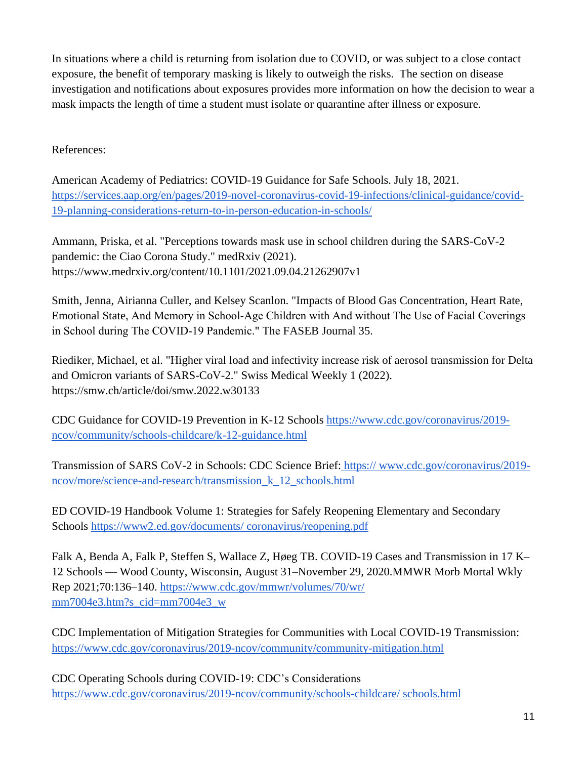In situations where a child is returning from isolation due to COVID, or was subject to a close contact exposure, the benefit of temporary masking is likely to outweigh the risks. The section on disease investigation and notifications about exposures provides more information on how the decision to wear a mask impacts the length of time a student must isolate or quarantine after illness or exposure.

# References:

American Academy of Pediatrics: COVID-19 Guidance for Safe Schools. July 18, 2021. [https://services.aap.org/en/pages/2019-novel-coronavirus-covid-19-infections/clinical-guidance/covid-](https://services.aap.org/en/pages/2019-novel-coronavirus-covid-19-infections/clinical-guidance/covid-19-planning-considerations-return-to-in-person-education-in-schools/)[19-planning-considerations-return-to-in-person-education-in-schools/](https://services.aap.org/en/pages/2019-novel-coronavirus-covid-19-infections/clinical-guidance/covid-19-planning-considerations-return-to-in-person-education-in-schools/)

Ammann, Priska, et al. "Perceptions towards mask use in school children during the SARS-CoV-2 pandemic: the Ciao Corona Study." medRxiv (2021). <https://www.medrxiv.org/content/10.1101/2021.09.04.21262907v1>

Smith, Jenna, Airianna Culler, and Kelsey Scanlon. "Impacts of Blood Gas Concentration, Heart Rate, Emotional State, And Memory in School‐Age Children with And without The Use of Facial Coverings in School during The COVID‐19 Pandemic." The FASEB Journal 35.

Riediker, Michael, et al. "Higher viral load and infectivity increase risk of aerosol transmission for Delta and Omicron variants of SARS-CoV-2." Swiss Medical Weekly 1 (2022). <https://smw.ch/article/doi/smw.2022.w30133>

CDC Guidance for COVID-19 Prevention in K-12 Schools [https://www.cdc.gov/coronavirus/2019](https://www.cdc.gov/coronavirus/2019-ncov/community/schools-childcare/k-12-guidance.html) [ncov/community/schools-childcare/k-12-guidance.html](https://www.cdc.gov/coronavirus/2019-ncov/community/schools-childcare/k-12-guidance.html)

Transmission of SARS CoV-2 in Schools: CDC Science Brief: [https:// www.cdc.gov/coronavirus/2019](http://www.cdc.gov/coronavirus/2019-ncov/more/science-and-research/transmission_k_12_schools.html) [ncov/more/science-and-research/transmission\\_k\\_12\\_schools.html](http://www.cdc.gov/coronavirus/2019-ncov/more/science-and-research/transmission_k_12_schools.html) 

ED COVID-19 Handbook Volume 1: Strategies for Safely Reopening Elementary and Secondary Schools [https://www2.ed.gov/documents/ coronavirus/reopening.pdf](https://www2.ed.gov/documents/) 

Falk A, Benda A, Falk P, Steffen S, Wallace Z, Høeg TB. COVID-19 Cases and Transmission in 17 K– 12 Schools — Wood County, Wisconsin, August 31–November 29, 2020.MMWR Morb Mortal Wkly Rep 2021;70:136–140.<https://www.cdc.gov/mmwr/volumes/70/wr/> mm7004e3.htm?s\_cid=mm7004e3\_w

CDC Implementation of Mitigation Strategies for Communities with Local COVID-19 Transmission: <https://www.cdc.gov/coronavirus/2019-ncov/community/community-mitigation.html>

CDC Operating Schools during COVID-19: CDC's Considerations [https://www.cdc.gov/coronavirus/2019-ncov/community/schools-childcare/ schools.html](https://www.cdc.gov/coronavirus/2019-ncov/community/schools-childcare/)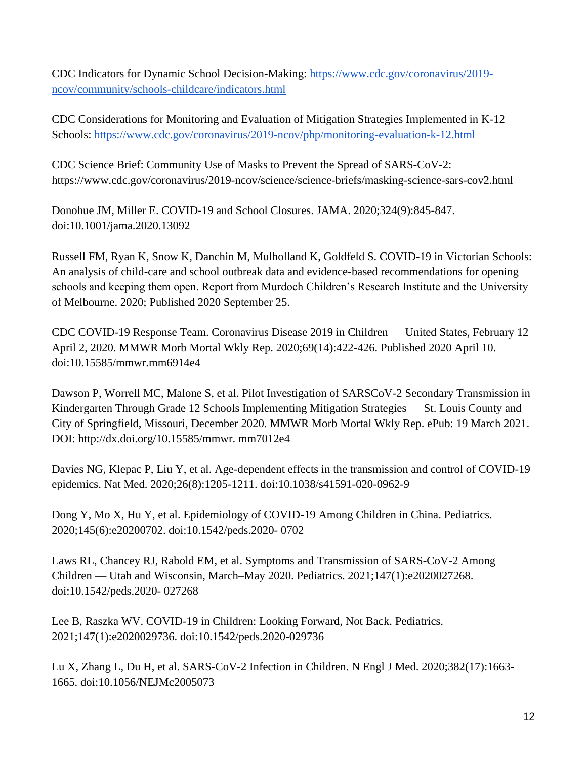CDC Indicators for Dynamic School Decision-Making: [https://www.cdc.gov/coronavirus/2019](https://www.cdc./) [ncov/community/schools-childcare/indicators.html](https://www.cdc./)

CDC Considerations for Monitoring and Evaluation of Mitigation Strategies Implemented in K-12 Schools:<https://www.cdc.gov/coronavirus/2019-ncov/php/monitoring-evaluation-k-12.html>

CDC Science Brief: Community Use of Masks to Prevent the Spread of SARS-CoV-2: https://www.cdc.gov/coronavirus/2019-ncov/science/science-briefs/masking-science-sars-cov2.html

Donohue JM, Miller E. COVID-19 and School Closures. JAMA. 2020;324(9):845-847. doi:10.1001/jama.2020.13092

Russell FM, Ryan K, Snow K, Danchin M, Mulholland K, Goldfeld S. COVID-19 in Victorian Schools: An analysis of child-care and school outbreak data and evidence-based recommendations for opening schools and keeping them open. Report from Murdoch Children's Research Institute and the University of Melbourne. 2020; Published 2020 September 25.

CDC COVID-19 Response Team. Coronavirus Disease 2019 in Children — United States, February 12– April 2, 2020. MMWR Morb Mortal Wkly Rep. 2020;69(14):422-426. Published 2020 April 10. doi:10.15585/mmwr.mm6914e4

Dawson P, Worrell MC, Malone S, et al. Pilot Investigation of SARSCoV-2 Secondary Transmission in Kindergarten Through Grade 12 Schools Implementing Mitigation Strategies — St. Louis County and City of Springfield, Missouri, December 2020. MMWR Morb Mortal Wkly Rep. ePub: 19 March 2021. DOI: http://dx.doi.org/10.15585/mmwr. mm7012e4

Davies NG, Klepac P, Liu Y, et al. Age-dependent effects in the transmission and control of COVID-19 epidemics. Nat Med. 2020;26(8):1205-1211. doi:10.1038/s41591-020-0962-9

Dong Y, Mo X, Hu Y, et al. Epidemiology of COVID-19 Among Children in China. Pediatrics. 2020;145(6):e20200702. doi:10.1542/peds.2020- 0702

Laws RL, Chancey RJ, Rabold EM, et al. Symptoms and Transmission of SARS-CoV-2 Among Children — Utah and Wisconsin, March–May 2020. Pediatrics. 2021;147(1):e2020027268. doi:10.1542/peds.2020- 027268

Lee B, Raszka WV. COVID-19 in Children: Looking Forward, Not Back. Pediatrics. 2021;147(1):e2020029736. doi:10.1542/peds.2020-029736

Lu X, Zhang L, Du H, et al. SARS-CoV-2 Infection in Children. N Engl J Med. 2020;382(17):1663- 1665. doi:10.1056/NEJMc2005073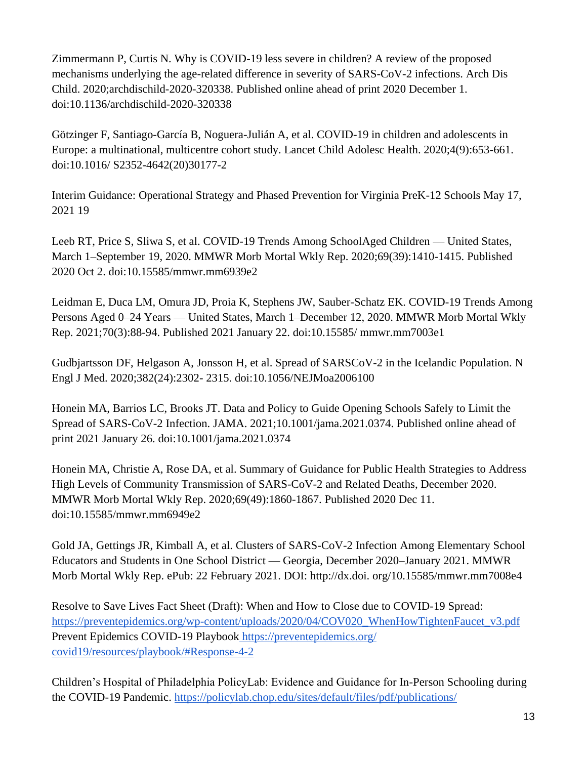Zimmermann P, Curtis N. Why is COVID-19 less severe in children? A review of the proposed mechanisms underlying the age-related difference in severity of SARS-CoV-2 infections. Arch Dis Child. 2020;archdischild-2020-320338. Published online ahead of print 2020 December 1. doi:10.1136/archdischild-2020-320338

Götzinger F, Santiago-García B, Noguera-Julián A, et al. COVID-19 in children and adolescents in Europe: a multinational, multicentre cohort study. Lancet Child Adolesc Health. 2020;4(9):653-661. doi:10.1016/ S2352-4642(20)30177-2

Interim Guidance: Operational Strategy and Phased Prevention for Virginia PreK-12 Schools May 17, 2021 19

Leeb RT, Price S, Sliwa S, et al. COVID-19 Trends Among SchoolAged Children — United States, March 1–September 19, 2020. MMWR Morb Mortal Wkly Rep. 2020;69(39):1410-1415. Published 2020 Oct 2. doi:10.15585/mmwr.mm6939e2

Leidman E, Duca LM, Omura JD, Proia K, Stephens JW, Sauber-Schatz EK. COVID-19 Trends Among Persons Aged 0–24 Years — United States, March 1–December 12, 2020. MMWR Morb Mortal Wkly Rep. 2021;70(3):88-94. Published 2021 January 22. doi:10.15585/ mmwr.mm7003e1

Gudbjartsson DF, Helgason A, Jonsson H, et al. Spread of SARSCoV-2 in the Icelandic Population. N Engl J Med. 2020;382(24):2302- 2315. doi:10.1056/NEJMoa2006100

Honein MA, Barrios LC, Brooks JT. Data and Policy to Guide Opening Schools Safely to Limit the Spread of SARS-CoV-2 Infection. JAMA. 2021;10.1001/jama.2021.0374. Published online ahead of print 2021 January 26. doi:10.1001/jama.2021.0374

Honein MA, Christie A, Rose DA, et al. Summary of Guidance for Public Health Strategies to Address High Levels of Community Transmission of SARS-CoV-2 and Related Deaths, December 2020. MMWR Morb Mortal Wkly Rep. 2020;69(49):1860-1867. Published 2020 Dec 11. doi:10.15585/mmwr.mm6949e2

Gold JA, Gettings JR, Kimball A, et al. Clusters of SARS-CoV-2 Infection Among Elementary School Educators and Students in One School District — Georgia, December 2020–January 2021. MMWR Morb Mortal Wkly Rep. ePub: 22 February 2021. DOI: http://dx.doi. org/10.15585/mmwr.mm7008e4

Resolve to Save Lives Fact Sheet (Draft): When and How to Close due to COVID-19 Spread: [https://preventepidemics.org/wp-content/uploads/2020/04/COV020\\_WhenHowTightenFaucet\\_v3.pdf](https://preventepidemics.org/wp-content/uploads/2020/04/COV020_WhenHowTightenFaucet_v3.pdf)  Prevent Epidemics COVID-19 Playbook <https://preventepidemics.org/> [covid19/resources/playbook/#Response-4-2](https://preventepidemics.org/) 

Children's Hospital of Philadelphia PolicyLab: Evidence and Guidance for In-Person Schooling during the COVID-19 Pandemic.<https://policylab.chop.edu/sites/default/files/pdf/publications/>